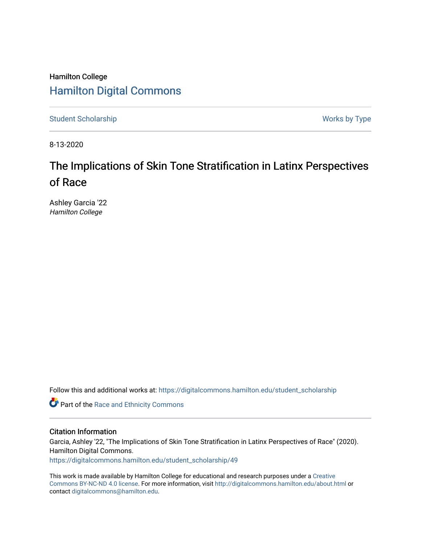### Hamilton College [Hamilton Digital Commons](https://digitalcommons.hamilton.edu/)

[Student Scholarship](https://digitalcommons.hamilton.edu/student_scholarship) Works by Type

8-13-2020

## The Implications of Skin Tone Stratification in Latinx Perspectives of Race

Ashley Garcia '22 Hamilton College

Follow this and additional works at: [https://digitalcommons.hamilton.edu/student\\_scholarship](https://digitalcommons.hamilton.edu/student_scholarship?utm_source=digitalcommons.hamilton.edu%2Fstudent_scholarship%2F49&utm_medium=PDF&utm_campaign=PDFCoverPages) 

**Part of the Race and Ethnicity Commons** 

#### Citation Information

Garcia, Ashley '22, "The Implications of Skin Tone Stratification in Latinx Perspectives of Race" (2020). Hamilton Digital Commons. [https://digitalcommons.hamilton.edu/student\\_scholarship/49](https://digitalcommons.hamilton.edu/student_scholarship/49?utm_source=digitalcommons.hamilton.edu%2Fstudent_scholarship%2F49&utm_medium=PDF&utm_campaign=PDFCoverPages)

This work is made available by Hamilton College for educational and research purposes under a [Creative](https://creativecommons.org/licenses/by-nc-nd/4.0/)  [Commons BY-NC-ND 4.0 license.](https://creativecommons.org/licenses/by-nc-nd/4.0/) For more information, visit <http://digitalcommons.hamilton.edu/about.html> or contact [digitalcommons@hamilton.edu.](mailto:digitalcommons@hamilton.edu)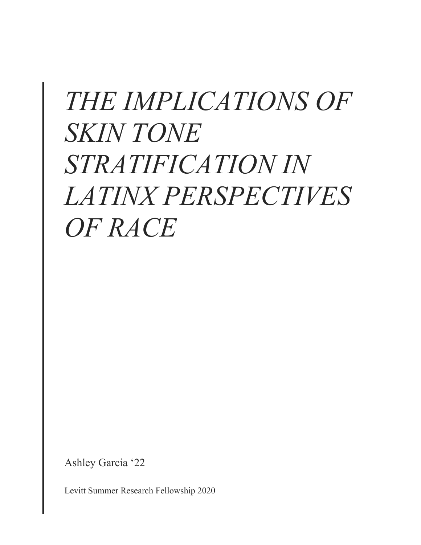# *THE IMPLICATIONS OF SKIN TONE STRATIFICATION IN LATINX PERSPECTIVES OF RACE*

Ashley Garcia '22

Levitt Summer Research Fellowship 2020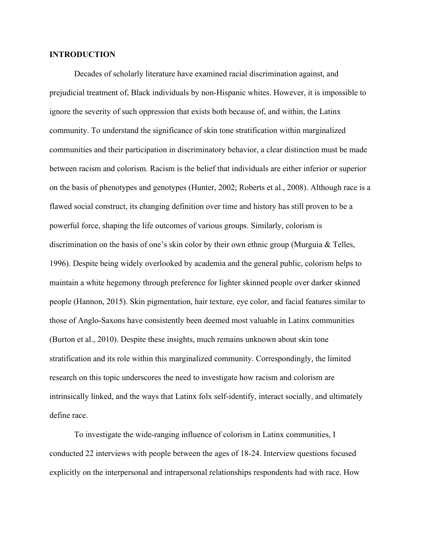#### **INTRODUCTION**

Decades of scholarly literature have examined racial discrimination against, and prejudicial treatment of, Black individuals by non-Hispanic whites. However, it is impossible to ignore the severity of such oppression that exists both because of, and within, the Latinx community. To understand the significance of skin tone stratification within marginalized communities and their participation in discriminatory behavior, a clear distinction must be made between racism and colorism. Racism is the belief that individuals are either inferior or superior on the basis of phenotypes and genotypes (Hunter, 2002; Roberts et al., 2008). Although race is a flawed social construct, its changing definition over time and history has still proven to be a powerful force, shaping the life outcomes of various groups. Similarly, colorism is discrimination on the basis of one's skin color by their own ethnic group (Murguia & Telles, 1996). Despite being widely overlooked by academia and the general public, colorism helps to maintain a white hegemony through preference for lighter skinned people over darker skinned people (Hannon, 2015). Skin pigmentation, hair texture, eye color, and facial features similar to those of Anglo-Saxons have consistently been deemed most valuable in Latinx communities (Burton et al., 2010). Despite these insights, much remains unknown about skin tone stratification and its role within this marginalized community. Correspondingly, the limited research on this topic underscores the need to investigate how racism and colorism are intrinsically linked, and the ways that Latinx folx self-identify, interact socially, and ultimately define race.

To investigate the wide-ranging influence of colorism in Latinx communities, I conducted 22 interviews with people between the ages of 18-24. Interview questions focused explicitly on the interpersonal and intrapersonal relationships respondents had with race. How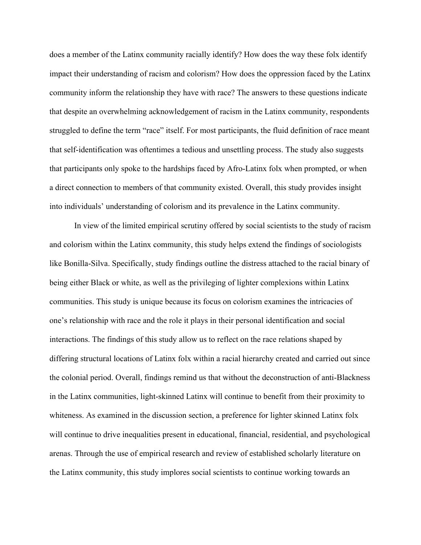does a member of the Latinx community racially identify? How does the way these folx identify impact their understanding of racism and colorism? How does the oppression faced by the Latinx community inform the relationship they have with race? The answers to these questions indicate that despite an overwhelming acknowledgement of racism in the Latinx community, respondents struggled to define the term "race" itself. For most participants, the fluid definition of race meant that self-identification was oftentimes a tedious and unsettling process. The study also suggests that participants only spoke to the hardships faced by Afro-Latinx folx when prompted, or when a direct connection to members of that community existed. Overall, this study provides insight into individuals' understanding of colorism and its prevalence in the Latinx community.

In view of the limited empirical scrutiny offered by social scientists to the study of racism and colorism within the Latinx community, this study helps extend the findings of sociologists like Bonilla-Silva. Specifically, study findings outline the distress attached to the racial binary of being either Black or white, as well as the privileging of lighter complexions within Latinx communities. This study is unique because its focus on colorism examines the intricacies of one's relationship with race and the role it plays in their personal identification and social interactions. The findings of this study allow us to reflect on the race relations shaped by differing structural locations of Latinx folx within a racial hierarchy created and carried out since the colonial period. Overall, findings remind us that without the deconstruction of anti-Blackness in the Latinx communities, light-skinned Latinx will continue to benefit from their proximity to whiteness. As examined in the discussion section, a preference for lighter skinned Latinx folx will continue to drive inequalities present in educational, financial, residential, and psychological arenas. Through the use of empirical research and review of established scholarly literature on the Latinx community, this study implores social scientists to continue working towards an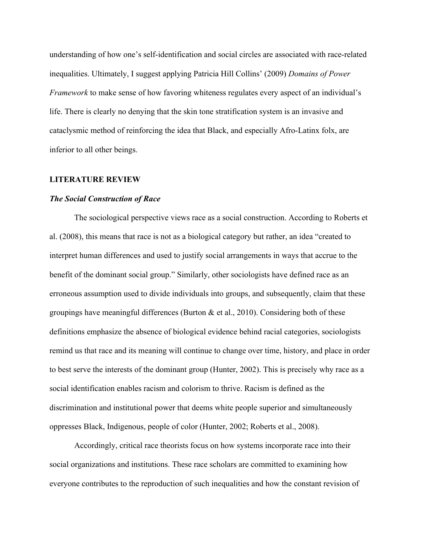understanding of how one's self-identification and social circles are associated with race-related inequalities. Ultimately, I suggest applying Patricia Hill Collins' (2009) *Domains of Power Framework* to make sense of how favoring whiteness regulates every aspect of an individual's life. There is clearly no denying that the skin tone stratification system is an invasive and cataclysmic method of reinforcing the idea that Black, and especially Afro-Latinx folx, are inferior to all other beings.

#### **LITERATURE REVIEW**

#### *The Social Construction of Race*

The sociological perspective views race as a social construction. According to Roberts et al. (2008), this means that race is not as a biological category but rather, an idea "created to interpret human differences and used to justify social arrangements in ways that accrue to the benefit of the dominant social group." Similarly, other sociologists have defined race as an erroneous assumption used to divide individuals into groups, and subsequently, claim that these groupings have meaningful differences (Burton  $\&$  et al., 2010). Considering both of these definitions emphasize the absence of biological evidence behind racial categories, sociologists remind us that race and its meaning will continue to change over time, history, and place in order to best serve the interests of the dominant group (Hunter, 2002). This is precisely why race as a social identification enables racism and colorism to thrive. Racism is defined as the discrimination and institutional power that deems white people superior and simultaneously oppresses Black, Indigenous, people of color (Hunter, 2002; Roberts et al., 2008).

Accordingly, critical race theorists focus on how systems incorporate race into their social organizations and institutions. These race scholars are committed to examining how everyone contributes to the reproduction of such inequalities and how the constant revision of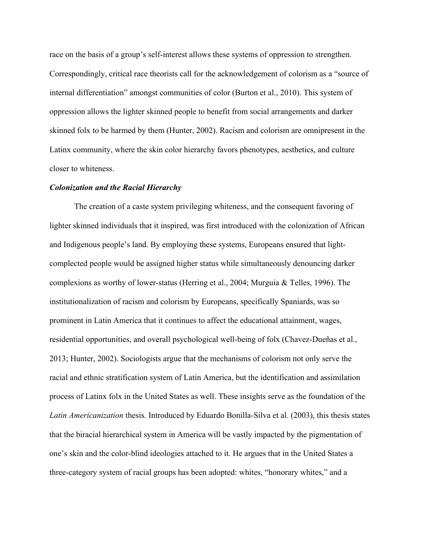race on the basis of a group's self-interest allows these systems of oppression to strengthen. Correspondingly, critical race theorists call for the acknowledgement of colorism as a "source of internal differentiation" amongst communities of color (Burton et al., 2010). This system of oppression allows the lighter skinned people to benefit from social arrangements and darker skinned folx to be harmed by them (Hunter, 2002). Racism and colorism are omnipresent in the Latinx community, where the skin color hierarchy favors phenotypes, aesthetics, and culture closer to whiteness.

#### *Colonization and the Racial Hierarchy*

The creation of a caste system privileging whiteness, and the consequent favoring of lighter skinned individuals that it inspired, was first introduced with the colonization of African and Indigenous people's land. By employing these systems, Europeans ensured that lightcomplected people would be assigned higher status while simultaneously denouncing darker complexions as worthy of lower-status (Herring et al., 2004; Murguia & Telles, 1996). The institutionalization of racism and colorism by Europeans, specifically Spaniards, was so prominent in Latin America that it continues to affect the educational attainment, wages, residential opportunities, and overall psychological well-being of folx (Chavez-Dueñas et al., 2013; Hunter, 2002). Sociologists argue that the mechanisms of colorism not only serve the racial and ethnic stratification system of Latin America, but the identification and assimilation process of Latinx folx in the United States as well. These insights serve as the foundation of the *Latin Americanization* thesis. Introduced by Eduardo Bonilla-Silva et al. (2003), this thesis states that the biracial hierarchical system in America will be vastly impacted by the pigmentation of one's skin and the color-blind ideologies attached to it. He argues that in the United States a three-category system of racial groups has been adopted: whites, "honorary whites," and a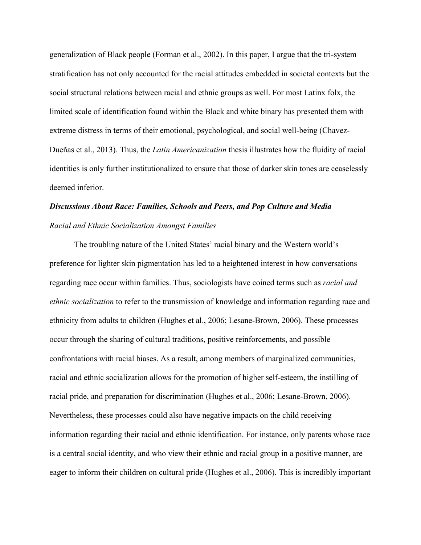generalization of Black people (Forman et al., 2002). In this paper, I argue that the tri-system stratification has not only accounted for the racial attitudes embedded in societal contexts but the social structural relations between racial and ethnic groups as well. For most Latinx folx, the limited scale of identification found within the Black and white binary has presented them with extreme distress in terms of their emotional, psychological, and social well-being (Chavez-Dueñas et al., 2013). Thus, the *Latin Americanization* thesis illustrates how the fluidity of racial identities is only further institutionalized to ensure that those of darker skin tones are ceaselessly deemed inferior.

## *Discussions About Race: Families, Schools and Peers, and Pop Culture and Media Racial and Ethnic Socialization Amongst Families*

The troubling nature of the United States' racial binary and the Western world's preference for lighter skin pigmentation has led to a heightened interest in how conversations regarding race occur within families. Thus, sociologists have coined terms such as *racial and ethnic socialization* to refer to the transmission of knowledge and information regarding race and ethnicity from adults to children (Hughes et al., 2006; Lesane-Brown, 2006). These processes occur through the sharing of cultural traditions, positive reinforcements, and possible confrontations with racial biases. As a result, among members of marginalized communities, racial and ethnic socialization allows for the promotion of higher self-esteem, the instilling of racial pride, and preparation for discrimination (Hughes et al., 2006; Lesane-Brown, 2006). Nevertheless, these processes could also have negative impacts on the child receiving information regarding their racial and ethnic identification. For instance, only parents whose race is a central social identity, and who view their ethnic and racial group in a positive manner, are eager to inform their children on cultural pride (Hughes et al., 2006). This is incredibly important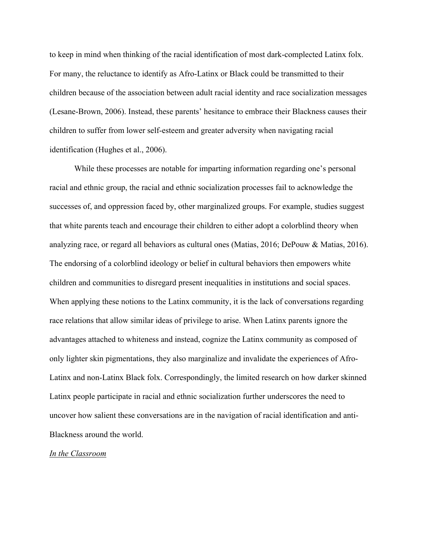to keep in mind when thinking of the racial identification of most dark-complected Latinx folx. For many, the reluctance to identify as Afro-Latinx or Black could be transmitted to their children because of the association between adult racial identity and race socialization messages (Lesane-Brown, 2006). Instead, these parents' hesitance to embrace their Blackness causes their children to suffer from lower self-esteem and greater adversity when navigating racial identification (Hughes et al., 2006).

While these processes are notable for imparting information regarding one's personal racial and ethnic group, the racial and ethnic socialization processes fail to acknowledge the successes of, and oppression faced by, other marginalized groups. For example, studies suggest that white parents teach and encourage their children to either adopt a colorblind theory when analyzing race, or regard all behaviors as cultural ones (Matias, 2016; DePouw & Matias, 2016). The endorsing of a colorblind ideology or belief in cultural behaviors then empowers white children and communities to disregard present inequalities in institutions and social spaces. When applying these notions to the Latinx community, it is the lack of conversations regarding race relations that allow similar ideas of privilege to arise. When Latinx parents ignore the advantages attached to whiteness and instead, cognize the Latinx community as composed of only lighter skin pigmentations, they also marginalize and invalidate the experiences of Afro-Latinx and non-Latinx Black folx. Correspondingly, the limited research on how darker skinned Latinx people participate in racial and ethnic socialization further underscores the need to uncover how salient these conversations are in the navigation of racial identification and anti-Blackness around the world.

#### *In the Classroom*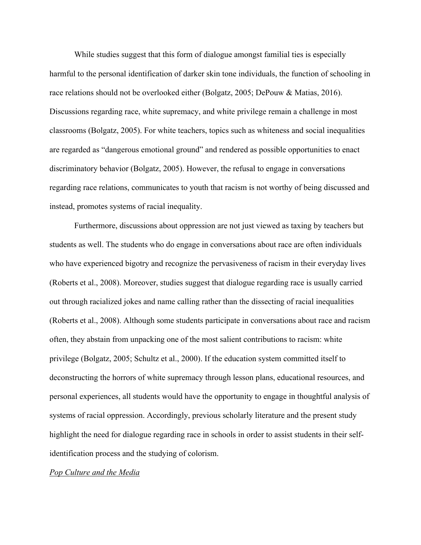While studies suggest that this form of dialogue amongst familial ties is especially harmful to the personal identification of darker skin tone individuals, the function of schooling in race relations should not be overlooked either (Bolgatz, 2005; DePouw & Matias, 2016). Discussions regarding race, white supremacy, and white privilege remain a challenge in most classrooms (Bolgatz, 2005). For white teachers, topics such as whiteness and social inequalities are regarded as "dangerous emotional ground" and rendered as possible opportunities to enact discriminatory behavior (Bolgatz, 2005). However, the refusal to engage in conversations regarding race relations, communicates to youth that racism is not worthy of being discussed and instead, promotes systems of racial inequality.

Furthermore, discussions about oppression are not just viewed as taxing by teachers but students as well. The students who do engage in conversations about race are often individuals who have experienced bigotry and recognize the pervasiveness of racism in their everyday lives (Roberts et al., 2008). Moreover, studies suggest that dialogue regarding race is usually carried out through racialized jokes and name calling rather than the dissecting of racial inequalities (Roberts et al., 2008). Although some students participate in conversations about race and racism often, they abstain from unpacking one of the most salient contributions to racism: white privilege (Bolgatz, 2005; Schultz et al., 2000). If the education system committed itself to deconstructing the horrors of white supremacy through lesson plans, educational resources, and personal experiences, all students would have the opportunity to engage in thoughtful analysis of systems of racial oppression. Accordingly, previous scholarly literature and the present study highlight the need for dialogue regarding race in schools in order to assist students in their selfidentification process and the studying of colorism.

#### *Pop Culture and the Media*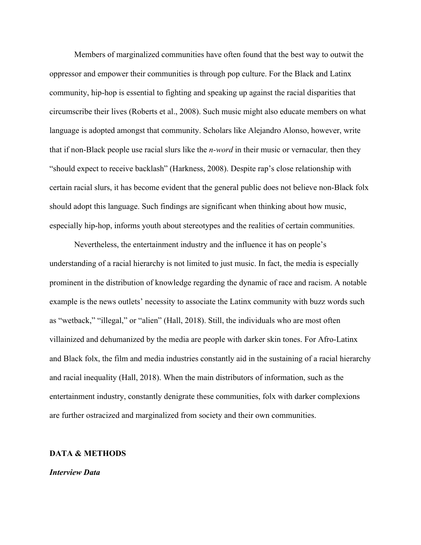Members of marginalized communities have often found that the best way to outwit the oppressor and empower their communities is through pop culture. For the Black and Latinx community, hip-hop is essential to fighting and speaking up against the racial disparities that circumscribe their lives (Roberts et al., 2008). Such music might also educate members on what language is adopted amongst that community. Scholars like Alejandro Alonso, however, write that if non-Black people use racial slurs like the *n-word* in their music or vernacular*,* then they "should expect to receive backlash" (Harkness, 2008). Despite rap's close relationship with certain racial slurs, it has become evident that the general public does not believe non-Black folx should adopt this language. Such findings are significant when thinking about how music, especially hip-hop, informs youth about stereotypes and the realities of certain communities.

Nevertheless, the entertainment industry and the influence it has on people's understanding of a racial hierarchy is not limited to just music. In fact, the media is especially prominent in the distribution of knowledge regarding the dynamic of race and racism. A notable example is the news outlets' necessity to associate the Latinx community with buzz words such as "wetback," "illegal," or "alien" (Hall, 2018). Still, the individuals who are most often villainized and dehumanized by the media are people with darker skin tones. For Afro-Latinx and Black folx, the film and media industries constantly aid in the sustaining of a racial hierarchy and racial inequality (Hall, 2018). When the main distributors of information, such as the entertainment industry, constantly denigrate these communities, folx with darker complexions are further ostracized and marginalized from society and their own communities.

#### **DATA & METHODS**

#### *Interview Data*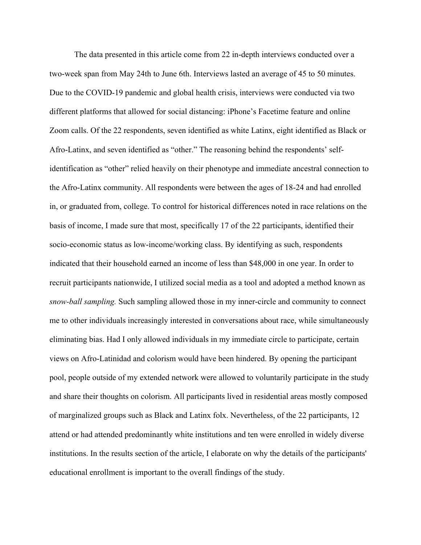The data presented in this article come from 22 in-depth interviews conducted over a two-week span from May 24th to June 6th. Interviews lasted an average of 45 to 50 minutes. Due to the COVID-19 pandemic and global health crisis, interviews were conducted via two different platforms that allowed for social distancing: iPhone's Facetime feature and online Zoom calls. Of the 22 respondents, seven identified as white Latinx, eight identified as Black or Afro-Latinx, and seven identified as "other." The reasoning behind the respondents' selfidentification as "other" relied heavily on their phenotype and immediate ancestral connection to the Afro-Latinx community. All respondents were between the ages of 18-24 and had enrolled in, or graduated from, college. To control for historical differences noted in race relations on the basis of income, I made sure that most, specifically 17 of the 22 participants, identified their socio-economic status as low-income/working class. By identifying as such, respondents indicated that their household earned an income of less than \$48,000 in one year. In order to recruit participants nationwide, I utilized social media as a tool and adopted a method known as *snow-ball sampling.* Such sampling allowed those in my inner-circle and community to connect me to other individuals increasingly interested in conversations about race, while simultaneously eliminating bias. Had I only allowed individuals in my immediate circle to participate, certain views on Afro-Latinidad and colorism would have been hindered. By opening the participant pool, people outside of my extended network were allowed to voluntarily participate in the study and share their thoughts on colorism. All participants lived in residential areas mostly composed of marginalized groups such as Black and Latinx folx. Nevertheless, of the 22 participants, 12 attend or had attended predominantly white institutions and ten were enrolled in widely diverse institutions. In the results section of the article, I elaborate on why the details of the participants' educational enrollment is important to the overall findings of the study.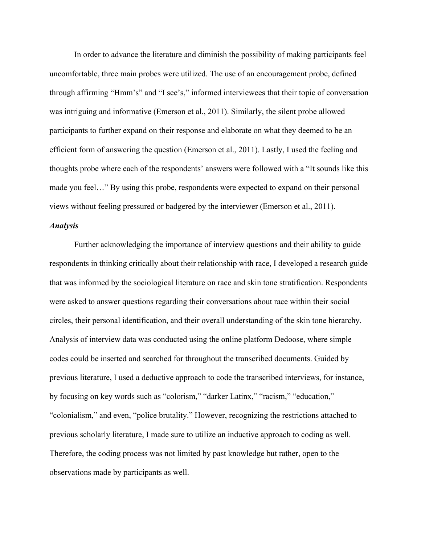In order to advance the literature and diminish the possibility of making participants feel uncomfortable, three main probes were utilized. The use of an encouragement probe, defined through affirming "Hmm's" and "I see's," informed interviewees that their topic of conversation was intriguing and informative (Emerson et al., 2011). Similarly, the silent probe allowed participants to further expand on their response and elaborate on what they deemed to be an efficient form of answering the question (Emerson et al., 2011). Lastly, I used the feeling and thoughts probe where each of the respondents' answers were followed with a "It sounds like this made you feel…" By using this probe, respondents were expected to expand on their personal views without feeling pressured or badgered by the interviewer (Emerson et al., 2011).

#### *Analysis*

Further acknowledging the importance of interview questions and their ability to guide respondents in thinking critically about their relationship with race, I developed a research guide that was informed by the sociological literature on race and skin tone stratification. Respondents were asked to answer questions regarding their conversations about race within their social circles, their personal identification, and their overall understanding of the skin tone hierarchy. Analysis of interview data was conducted using the online platform Dedoose, where simple codes could be inserted and searched for throughout the transcribed documents. Guided by previous literature, I used a deductive approach to code the transcribed interviews, for instance, by focusing on key words such as "colorism," "darker Latinx," "racism," "education," "colonialism," and even, "police brutality." However, recognizing the restrictions attached to previous scholarly literature, I made sure to utilize an inductive approach to coding as well. Therefore, the coding process was not limited by past knowledge but rather, open to the observations made by participants as well.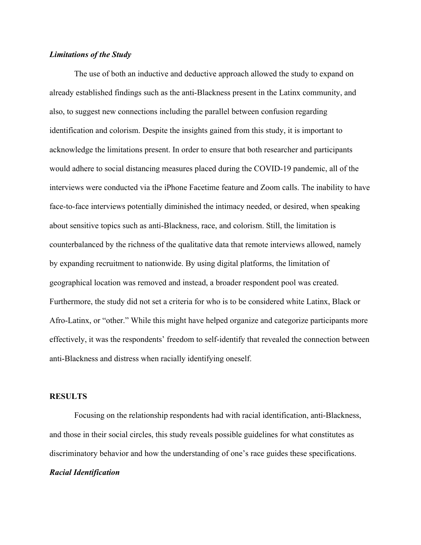#### *Limitations of the Study*

The use of both an inductive and deductive approach allowed the study to expand on already established findings such as the anti-Blackness present in the Latinx community, and also, to suggest new connections including the parallel between confusion regarding identification and colorism. Despite the insights gained from this study, it is important to acknowledge the limitations present. In order to ensure that both researcher and participants would adhere to social distancing measures placed during the COVID-19 pandemic, all of the interviews were conducted via the iPhone Facetime feature and Zoom calls. The inability to have face-to-face interviews potentially diminished the intimacy needed, or desired, when speaking about sensitive topics such as anti-Blackness, race, and colorism. Still, the limitation is counterbalanced by the richness of the qualitative data that remote interviews allowed, namely by expanding recruitment to nationwide. By using digital platforms, the limitation of geographical location was removed and instead, a broader respondent pool was created. Furthermore, the study did not set a criteria for who is to be considered white Latinx, Black or Afro-Latinx, or "other." While this might have helped organize and categorize participants more effectively, it was the respondents' freedom to self-identify that revealed the connection between anti-Blackness and distress when racially identifying oneself.

#### **RESULTS**

Focusing on the relationship respondents had with racial identification, anti-Blackness, and those in their social circles, this study reveals possible guidelines for what constitutes as discriminatory behavior and how the understanding of one's race guides these specifications. *Racial Identification*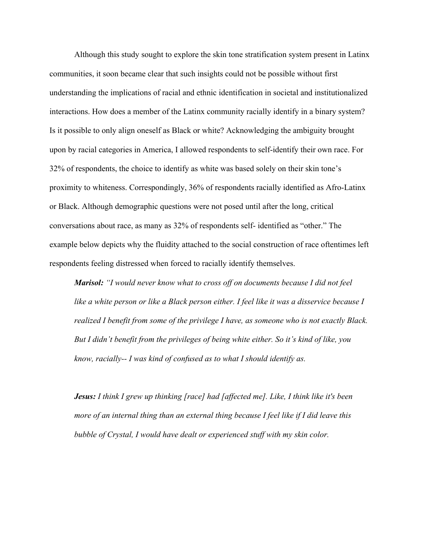Although this study sought to explore the skin tone stratification system present in Latinx communities, it soon became clear that such insights could not be possible without first understanding the implications of racial and ethnic identification in societal and institutionalized interactions. How does a member of the Latinx community racially identify in a binary system? Is it possible to only align oneself as Black or white? Acknowledging the ambiguity brought upon by racial categories in America, I allowed respondents to self-identify their own race. For 32% of respondents, the choice to identify as white was based solely on their skin tone's proximity to whiteness. Correspondingly, 36% of respondents racially identified as Afro-Latinx or Black. Although demographic questions were not posed until after the long, critical conversations about race, as many as 32% of respondents self- identified as "other." The example below depicts why the fluidity attached to the social construction of race oftentimes left respondents feeling distressed when forced to racially identify themselves.

*Marisol: "I would never know what to cross off on documents because I did not feel*  like a white person or like a Black person either. I feel like it was a disservice because I *realized I benefit from some of the privilege I have, as someone who is not exactly Black. But I didn't benefit from the privileges of being white either. So it's kind of like, you know, racially-- I was kind of confused as to what I should identify as.* 

*Jesus: I think I grew up thinking [race] had [affected me]. Like, I think like it's been more of an internal thing than an external thing because I feel like if I did leave this bubble of Crystal, I would have dealt or experienced stuff with my skin color.*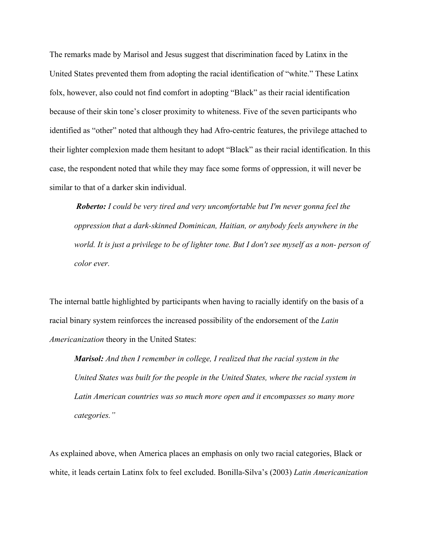The remarks made by Marisol and Jesus suggest that discrimination faced by Latinx in the United States prevented them from adopting the racial identification of "white." These Latinx folx, however, also could not find comfort in adopting "Black" as their racial identification because of their skin tone's closer proximity to whiteness. Five of the seven participants who identified as "other" noted that although they had Afro-centric features, the privilege attached to their lighter complexion made them hesitant to adopt "Black" as their racial identification. In this case, the respondent noted that while they may face some forms of oppression, it will never be similar to that of a darker skin individual.

*Roberto: I could be very tired and very uncomfortable but I'm never gonna feel the oppression that a dark-skinned Dominican, Haitian, or anybody feels anywhere in the world. It is just a privilege to be of lighter tone. But I don't see myself as a non- person of color ever.* 

The internal battle highlighted by participants when having to racially identify on the basis of a racial binary system reinforces the increased possibility of the endorsement of the *Latin Americanization* theory in the United States:

*Marisol: And then I remember in college, I realized that the racial system in the United States was built for the people in the United States, where the racial system in Latin American countries was so much more open and it encompasses so many more categories."* 

As explained above, when America places an emphasis on only two racial categories, Black or white, it leads certain Latinx folx to feel excluded. Bonilla-Silva's (2003) *Latin Americanization*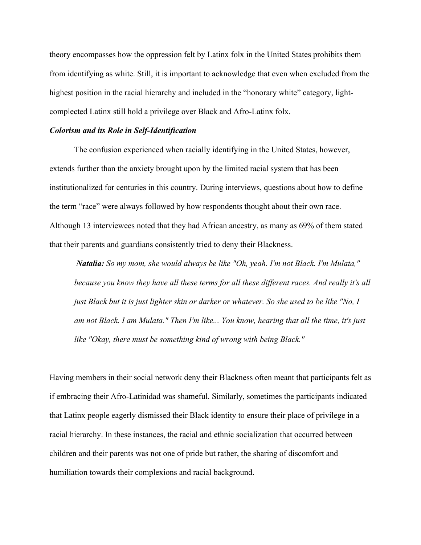theory encompasses how the oppression felt by Latinx folx in the United States prohibits them from identifying as white. Still, it is important to acknowledge that even when excluded from the highest position in the racial hierarchy and included in the "honorary white" category, lightcomplected Latinx still hold a privilege over Black and Afro-Latinx folx.

#### *Colorism and its Role in Self-Identification*

The confusion experienced when racially identifying in the United States, however, extends further than the anxiety brought upon by the limited racial system that has been institutionalized for centuries in this country. During interviews, questions about how to define the term "race" were always followed by how respondents thought about their own race. Although 13 interviewees noted that they had African ancestry, as many as 69% of them stated that their parents and guardians consistently tried to deny their Blackness.

*Natalia: So my mom, she would always be like "Oh, yeah. I'm not Black. I'm Mulata," because you know they have all these terms for all these different races. And really it's all just Black but it is just lighter skin or darker or whatever. So she used to be like "No, I am not Black. I am Mulata." Then I'm like... You know, hearing that all the time, it's just like "Okay, there must be something kind of wrong with being Black."* 

Having members in their social network deny their Blackness often meant that participants felt as if embracing their Afro-Latinidad was shameful. Similarly, sometimes the participants indicated that Latinx people eagerly dismissed their Black identity to ensure their place of privilege in a racial hierarchy. In these instances, the racial and ethnic socialization that occurred between children and their parents was not one of pride but rather, the sharing of discomfort and humiliation towards their complexions and racial background.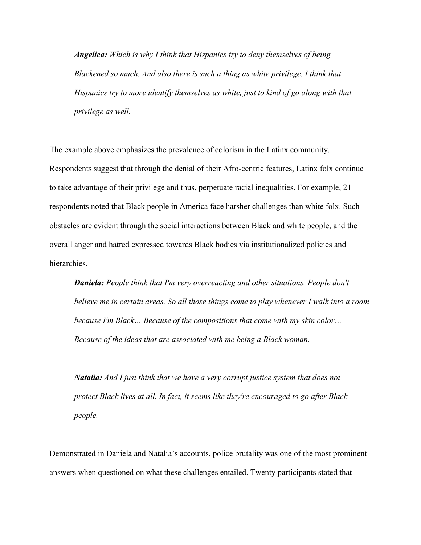*Angelica: Which is why I think that Hispanics try to deny themselves of being Blackened so much. And also there is such a thing as white privilege. I think that Hispanics try to more identify themselves as white, just to kind of go along with that privilege as well.* 

The example above emphasizes the prevalence of colorism in the Latinx community. Respondents suggest that through the denial of their Afro-centric features, Latinx folx continue to take advantage of their privilege and thus, perpetuate racial inequalities. For example, 21 respondents noted that Black people in America face harsher challenges than white folx. Such obstacles are evident through the social interactions between Black and white people, and the overall anger and hatred expressed towards Black bodies via institutionalized policies and hierarchies.

*Daniela: People think that I'm very overreacting and other situations. People don't believe me in certain areas. So all those things come to play whenever I walk into a room because I'm Black… Because of the compositions that come with my skin color… Because of the ideas that are associated with me being a Black woman.* 

*Natalia: And I just think that we have a very corrupt justice system that does not protect Black lives at all. In fact, it seems like they're encouraged to go after Black people.* 

Demonstrated in Daniela and Natalia's accounts, police brutality was one of the most prominent answers when questioned on what these challenges entailed. Twenty participants stated that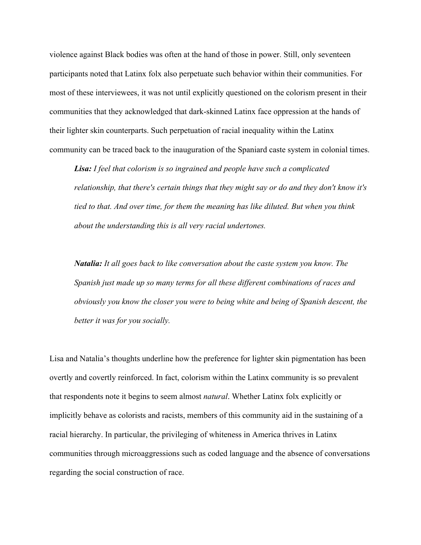violence against Black bodies was often at the hand of those in power. Still, only seventeen participants noted that Latinx folx also perpetuate such behavior within their communities. For most of these interviewees, it was not until explicitly questioned on the colorism present in their communities that they acknowledged that dark-skinned Latinx face oppression at the hands of their lighter skin counterparts. Such perpetuation of racial inequality within the Latinx community can be traced back to the inauguration of the Spaniard caste system in colonial times.

*Lisa: I feel that colorism is so ingrained and people have such a complicated relationship, that there's certain things that they might say or do and they don't know it's tied to that. And over time, for them the meaning has like diluted. But when you think about the understanding this is all very racial undertones.* 

*Natalia: It all goes back to like conversation about the caste system you know. The Spanish just made up so many terms for all these different combinations of races and obviously you know the closer you were to being white and being of Spanish descent, the better it was for you socially.*

Lisa and Natalia's thoughts underline how the preference for lighter skin pigmentation has been overtly and covertly reinforced. In fact, colorism within the Latinx community is so prevalent that respondents note it begins to seem almost *natural*. Whether Latinx folx explicitly or implicitly behave as colorists and racists, members of this community aid in the sustaining of a racial hierarchy. In particular, the privileging of whiteness in America thrives in Latinx communities through microaggressions such as coded language and the absence of conversations regarding the social construction of race.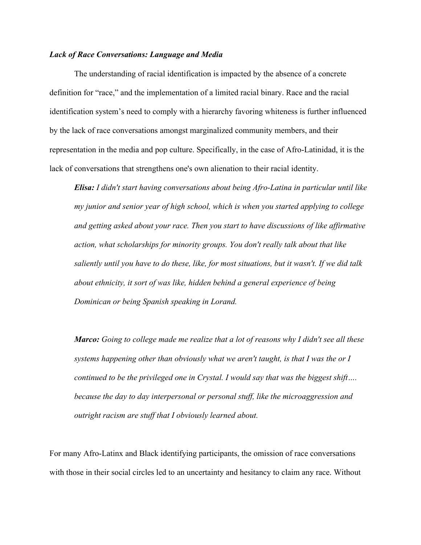#### *Lack of Race Conversations: Language and Media*

The understanding of racial identification is impacted by the absence of a concrete definition for "race," and the implementation of a limited racial binary. Race and the racial identification system's need to comply with a hierarchy favoring whiteness is further influenced by the lack of race conversations amongst marginalized community members, and their representation in the media and pop culture. Specifically, in the case of Afro-Latinidad, it is the lack of conversations that strengthens one's own alienation to their racial identity.

*Elisa: I didn't start having conversations about being Afro-Latina in particular until like my junior and senior year of high school, which is when you started applying to college and getting asked about your race. Then you start to have discussions of like affirmative action, what scholarships for minority groups. You don't really talk about that like saliently until you have to do these, like, for most situations, but it wasn't. If we did talk about ethnicity, it sort of was like, hidden behind a general experience of being Dominican or being Spanish speaking in Lorand.* 

*Marco: Going to college made me realize that a lot of reasons why I didn't see all these systems happening other than obviously what we aren't taught, is that I was the or I continued to be the privileged one in Crystal. I would say that was the biggest shift…. because the day to day interpersonal or personal stuff, like the microaggression and outright racism are stuff that I obviously learned about.* 

For many Afro-Latinx and Black identifying participants, the omission of race conversations with those in their social circles led to an uncertainty and hesitancy to claim any race. Without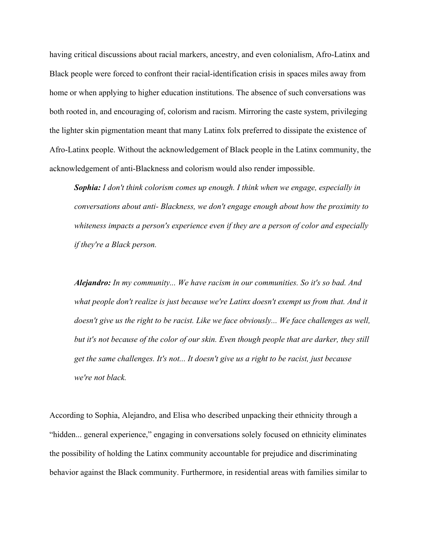having critical discussions about racial markers, ancestry, and even colonialism, Afro-Latinx and Black people were forced to confront their racial-identification crisis in spaces miles away from home or when applying to higher education institutions. The absence of such conversations was both rooted in, and encouraging of, colorism and racism. Mirroring the caste system, privileging the lighter skin pigmentation meant that many Latinx folx preferred to dissipate the existence of Afro-Latinx people. Without the acknowledgement of Black people in the Latinx community, the acknowledgement of anti-Blackness and colorism would also render impossible.

*Sophia: I don't think colorism comes up enough. I think when we engage, especially in conversations about anti- Blackness, we don't engage enough about how the proximity to whiteness impacts a person's experience even if they are a person of color and especially if they're a Black person.* 

*Alejandro: In my community... We have racism in our communities. So it's so bad. And what people don't realize is just because we're Latinx doesn't exempt us from that. And it doesn't give us the right to be racist. Like we face obviously... We face challenges as well, but it's not because of the color of our skin. Even though people that are darker, they still get the same challenges. It's not... It doesn't give us a right to be racist, just because we're not black.* 

According to Sophia, Alejandro, and Elisa who described unpacking their ethnicity through a "hidden... general experience," engaging in conversations solely focused on ethnicity eliminates the possibility of holding the Latinx community accountable for prejudice and discriminating behavior against the Black community. Furthermore, in residential areas with families similar to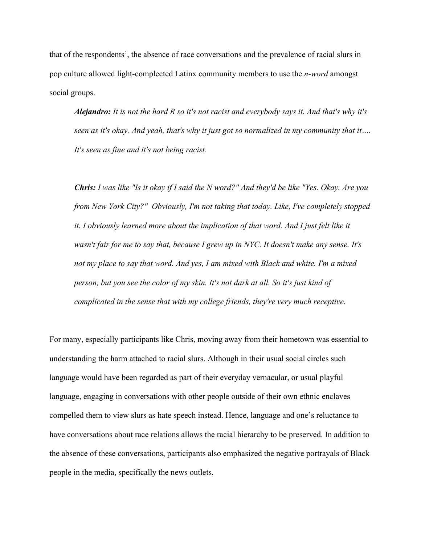that of the respondents', the absence of race conversations and the prevalence of racial slurs in pop culture allowed light-complected Latinx community members to use the *n-word* amongst social groups.

*Alejandro: It is not the hard R so it's not racist and everybody says it. And that's why it's seen as it's okay. And yeah, that's why it just got so normalized in my community that it…. It's seen as fine and it's not being racist.* 

*Chris: I was like "Is it okay if I said the N word?" And they'd be like "Yes. Okay. Are you from New York City?" Obviously, I'm not taking that today. Like, I've completely stopped it. I obviously learned more about the implication of that word. And I just felt like it wasn't fair for me to say that, because I grew up in NYC. It doesn't make any sense. It's not my place to say that word. And yes, I am mixed with Black and white. I'm a mixed person, but you see the color of my skin. It's not dark at all. So it's just kind of complicated in the sense that with my college friends, they're very much receptive.* 

For many, especially participants like Chris, moving away from their hometown was essential to understanding the harm attached to racial slurs. Although in their usual social circles such language would have been regarded as part of their everyday vernacular, or usual playful language, engaging in conversations with other people outside of their own ethnic enclaves compelled them to view slurs as hate speech instead. Hence, language and one's reluctance to have conversations about race relations allows the racial hierarchy to be preserved. In addition to the absence of these conversations, participants also emphasized the negative portrayals of Black people in the media, specifically the news outlets.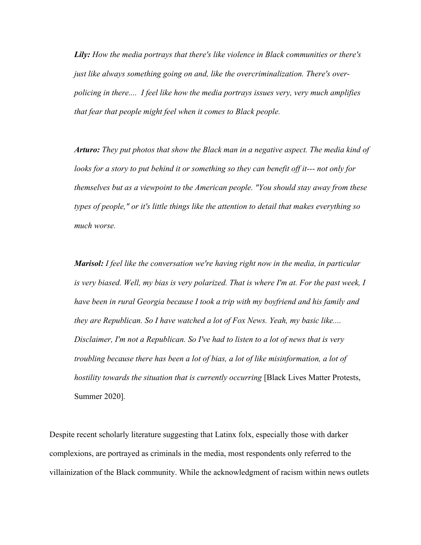*Lily: How the media portrays that there's like violence in Black communities or there's just like always something going on and, like the overcriminalization. There's overpolicing in there.... I feel like how the media portrays issues very, very much amplifies that fear that people might feel when it comes to Black people.* 

*Arturo: They put photos that show the Black man in a negative aspect. The media kind of looks for a story to put behind it or something so they can benefit off it--- not only for themselves but as a viewpoint to the American people. "You should stay away from these types of people," or it's little things like the attention to detail that makes everything so much worse.* 

*Marisol: I feel like the conversation we're having right now in the media, in particular is very biased. Well, my bias is very polarized. That is where I'm at. For the past week, I have been in rural Georgia because I took a trip with my boyfriend and his family and they are Republican. So I have watched a lot of Fox News. Yeah, my basic like.... Disclaimer, I'm not a Republican. So I've had to listen to a lot of news that is very troubling because there has been a lot of bias, a lot of like misinformation, a lot of hostility towards the situation that is currently occurring* [Black Lives Matter Protests, Summer 2020]*.* 

Despite recent scholarly literature suggesting that Latinx folx, especially those with darker complexions, are portrayed as criminals in the media, most respondents only referred to the villainization of the Black community. While the acknowledgment of racism within news outlets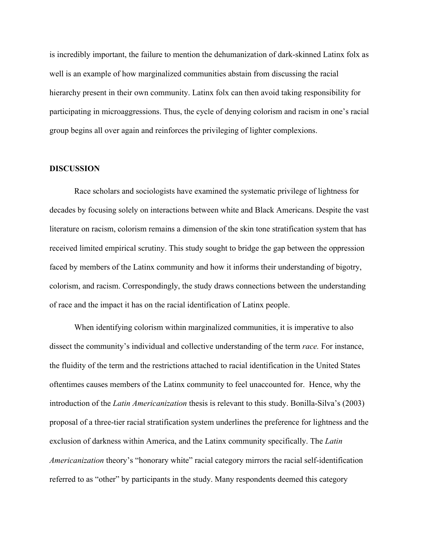is incredibly important, the failure to mention the dehumanization of dark-skinned Latinx folx as well is an example of how marginalized communities abstain from discussing the racial hierarchy present in their own community. Latinx folx can then avoid taking responsibility for participating in microaggressions. Thus, the cycle of denying colorism and racism in one's racial group begins all over again and reinforces the privileging of lighter complexions.

#### **DISCUSSION**

Race scholars and sociologists have examined the systematic privilege of lightness for decades by focusing solely on interactions between white and Black Americans. Despite the vast literature on racism, colorism remains a dimension of the skin tone stratification system that has received limited empirical scrutiny. This study sought to bridge the gap between the oppression faced by members of the Latinx community and how it informs their understanding of bigotry, colorism, and racism. Correspondingly, the study draws connections between the understanding of race and the impact it has on the racial identification of Latinx people.

When identifying colorism within marginalized communities, it is imperative to also dissect the community's individual and collective understanding of the term *race.* For instance, the fluidity of the term and the restrictions attached to racial identification in the United States oftentimes causes members of the Latinx community to feel unaccounted for. Hence, why the introduction of the *Latin Americanization* thesis is relevant to this study. Bonilla-Silva's (2003) proposal of a three-tier racial stratification system underlines the preference for lightness and the exclusion of darkness within America, and the Latinx community specifically. The *Latin Americanization* theory's "honorary white" racial category mirrors the racial self-identification referred to as "other" by participants in the study. Many respondents deemed this category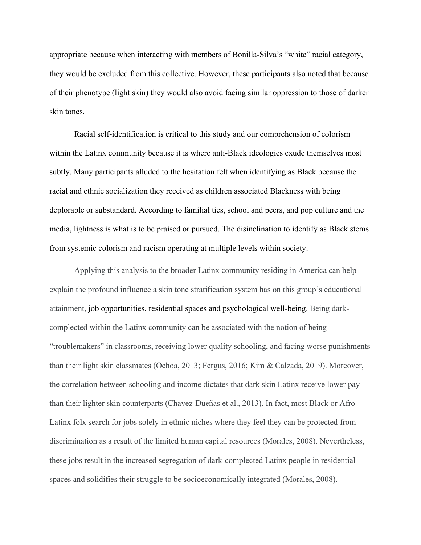appropriate because when interacting with members of Bonilla-Silva's "white" racial category, they would be excluded from this collective. However, these participants also noted that because of their phenotype (light skin) they would also avoid facing similar oppression to those of darker skin tones.

Racial self-identification is critical to this study and our comprehension of colorism within the Latinx community because it is where anti-Black ideologies exude themselves most subtly. Many participants alluded to the hesitation felt when identifying as Black because the racial and ethnic socialization they received as children associated Blackness with being deplorable or substandard. According to familial ties, school and peers, and pop culture and the media, lightness is what is to be praised or pursued. The disinclination to identify as Black stems from systemic colorism and racism operating at multiple levels within society.

Applying this analysis to the broader Latinx community residing in America can help explain the profound influence a skin tone stratification system has on this group's educational attainment, job opportunities, residential spaces and psychological well-being. Being darkcomplected within the Latinx community can be associated with the notion of being "troublemakers" in classrooms, receiving lower quality schooling, and facing worse punishments than their light skin classmates (Ochoa, 2013; Fergus, 2016; Kim & Calzada, 2019). Moreover, the correlation between schooling and income dictates that dark skin Latinx receive lower pay than their lighter skin counterparts (Chavez-Dueñas et al., 2013). In fact, most Black or Afro-Latinx folx search for jobs solely in ethnic niches where they feel they can be protected from discrimination as a result of the limited human capital resources (Morales, 2008). Nevertheless, these jobs result in the increased segregation of dark-complected Latinx people in residential spaces and solidifies their struggle to be socioeconomically integrated (Morales, 2008).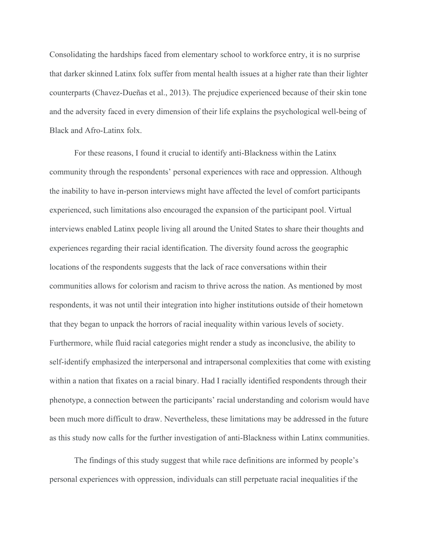Consolidating the hardships faced from elementary school to workforce entry, it is no surprise that darker skinned Latinx folx suffer from mental health issues at a higher rate than their lighter counterparts (Chavez-Dueñas et al., 2013). The prejudice experienced because of their skin tone and the adversity faced in every dimension of their life explains the psychological well-being of Black and Afro-Latinx folx.

For these reasons, I found it crucial to identify anti-Blackness within the Latinx community through the respondents' personal experiences with race and oppression. Although the inability to have in-person interviews might have affected the level of comfort participants experienced, such limitations also encouraged the expansion of the participant pool. Virtual interviews enabled Latinx people living all around the United States to share their thoughts and experiences regarding their racial identification. The diversity found across the geographic locations of the respondents suggests that the lack of race conversations within their communities allows for colorism and racism to thrive across the nation. As mentioned by most respondents, it was not until their integration into higher institutions outside of their hometown that they began to unpack the horrors of racial inequality within various levels of society. Furthermore, while fluid racial categories might render a study as inconclusive, the ability to self-identify emphasized the interpersonal and intrapersonal complexities that come with existing within a nation that fixates on a racial binary. Had I racially identified respondents through their phenotype, a connection between the participants' racial understanding and colorism would have been much more difficult to draw. Nevertheless, these limitations may be addressed in the future as this study now calls for the further investigation of anti-Blackness within Latinx communities.

The findings of this study suggest that while race definitions are informed by people's personal experiences with oppression, individuals can still perpetuate racial inequalities if the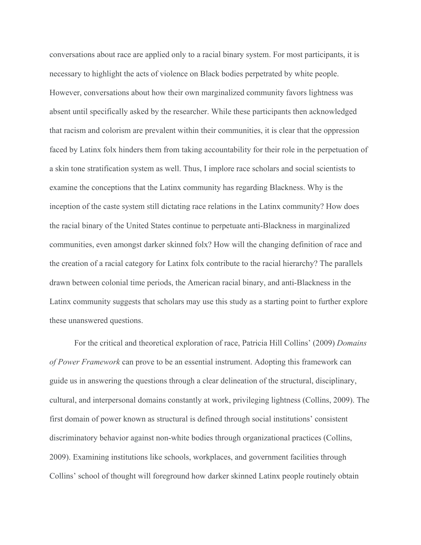conversations about race are applied only to a racial binary system. For most participants, it is necessary to highlight the acts of violence on Black bodies perpetrated by white people. However, conversations about how their own marginalized community favors lightness was absent until specifically asked by the researcher. While these participants then acknowledged that racism and colorism are prevalent within their communities, it is clear that the oppression faced by Latinx folx hinders them from taking accountability for their role in the perpetuation of a skin tone stratification system as well. Thus, I implore race scholars and social scientists to examine the conceptions that the Latinx community has regarding Blackness. Why is the inception of the caste system still dictating race relations in the Latinx community? How does the racial binary of the United States continue to perpetuate anti-Blackness in marginalized communities, even amongst darker skinned folx? How will the changing definition of race and the creation of a racial category for Latinx folx contribute to the racial hierarchy? The parallels drawn between colonial time periods, the American racial binary, and anti-Blackness in the Latinx community suggests that scholars may use this study as a starting point to further explore these unanswered questions.

For the critical and theoretical exploration of race, Patricia Hill Collins' (2009) *Domains of Power Framework* can prove to be an essential instrument. Adopting this framework can guide us in answering the questions through a clear delineation of the structural, disciplinary, cultural, and interpersonal domains constantly at work, privileging lightness (Collins, 2009). The first domain of power known as structural is defined through social institutions' consistent discriminatory behavior against non-white bodies through organizational practices (Collins, 2009). Examining institutions like schools, workplaces, and government facilities through Collins' school of thought will foreground how darker skinned Latinx people routinely obtain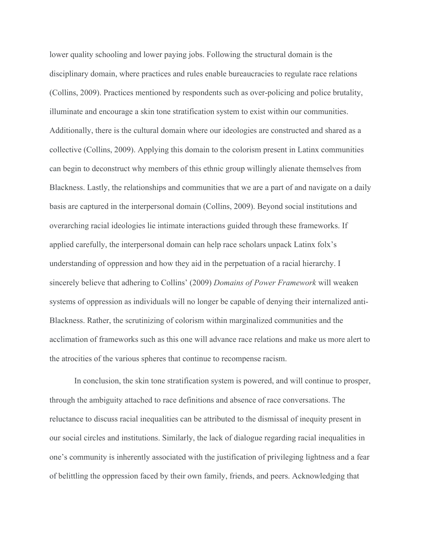lower quality schooling and lower paying jobs. Following the structural domain is the disciplinary domain, where practices and rules enable bureaucracies to regulate race relations (Collins, 2009). Practices mentioned by respondents such as over-policing and police brutality, illuminate and encourage a skin tone stratification system to exist within our communities. Additionally, there is the cultural domain where our ideologies are constructed and shared as a collective (Collins, 2009). Applying this domain to the colorism present in Latinx communities can begin to deconstruct why members of this ethnic group willingly alienate themselves from Blackness. Lastly, the relationships and communities that we are a part of and navigate on a daily basis are captured in the interpersonal domain (Collins, 2009). Beyond social institutions and overarching racial ideologies lie intimate interactions guided through these frameworks. If applied carefully, the interpersonal domain can help race scholars unpack Latinx folx's understanding of oppression and how they aid in the perpetuation of a racial hierarchy. I sincerely believe that adhering to Collins' (2009) *Domains of Power Framework* will weaken systems of oppression as individuals will no longer be capable of denying their internalized anti-Blackness. Rather, the scrutinizing of colorism within marginalized communities and the acclimation of frameworks such as this one will advance race relations and make us more alert to the atrocities of the various spheres that continue to recompense racism.

In conclusion, the skin tone stratification system is powered, and will continue to prosper, through the ambiguity attached to race definitions and absence of race conversations. The reluctance to discuss racial inequalities can be attributed to the dismissal of inequity present in our social circles and institutions. Similarly, the lack of dialogue regarding racial inequalities in one's community is inherently associated with the justification of privileging lightness and a fear of belittling the oppression faced by their own family, friends, and peers. Acknowledging that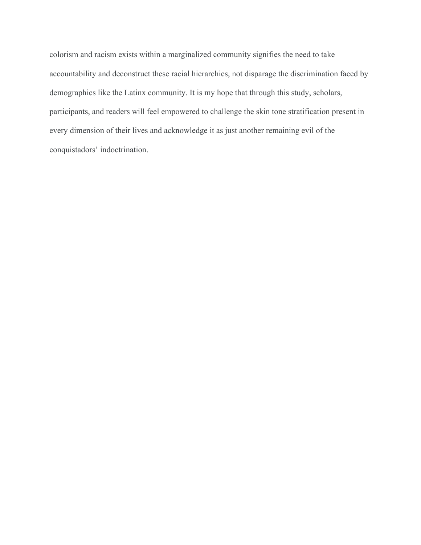colorism and racism exists within a marginalized community signifies the need to take accountability and deconstruct these racial hierarchies, not disparage the discrimination faced by demographics like the Latinx community. It is my hope that through this study, scholars, participants, and readers will feel empowered to challenge the skin tone stratification present in every dimension of their lives and acknowledge it as just another remaining evil of the conquistadors' indoctrination.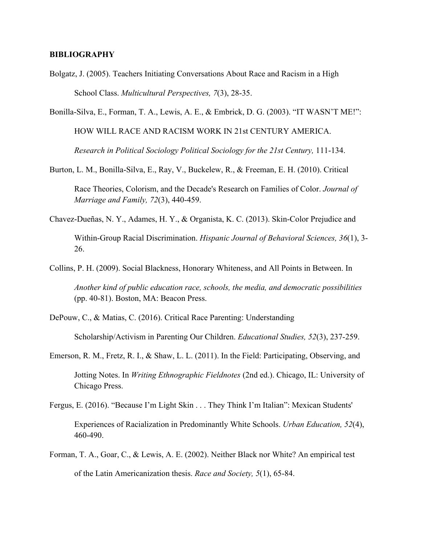#### **BIBLIOGRAPHY**

Chicago Press.

Bolgatz, J. (2005). Teachers Initiating Conversations About Race and Racism in a High School Class. *Multicultural Perspectives, 7*(3), 28-35.

Bonilla-Silva, E., Forman, T. A., Lewis, A. E., & Embrick, D. G. (2003). "IT WASN'T ME!": HOW WILL RACE AND RACISM WORK IN 21st CENTURY AMERICA. *Research in Political Sociology Political Sociology for the 21st Century,* 111-134.

Burton, L. M., Bonilla-Silva, E., Ray, V., Buckelew, R., & Freeman, E. H. (2010). Critical

Race Theories, Colorism, and the Decade's Research on Families of Color. *Journal of Marriage and Family, 72*(3), 440-459.

Chavez-Dueñas, N. Y., Adames, H. Y., & Organista, K. C. (2013). Skin-Color Prejudice and

Within-Group Racial Discrimination. *Hispanic Journal of Behavioral Sciences, 36*(1), 3- 26.

Collins, P. H. (2009). Social Blackness, Honorary Whiteness, and All Points in Between. In

*Another kind of public education race, schools, the media, and democratic possibilities* (pp. 40-81). Boston, MA: Beacon Press.

DePouw, C., & Matias, C. (2016). Critical Race Parenting: Understanding

Scholarship/Activism in Parenting Our Children. *Educational Studies, 52*(3), 237-259.

Emerson, R. M., Fretz, R. I., & Shaw, L. L. (2011). In the Field: Participating, Observing, and Jotting Notes. In *Writing Ethnographic Fieldnotes* (2nd ed.). Chicago, IL: University of

Fergus, E. (2016). "Because I'm Light Skin . . . They Think I'm Italian": Mexican Students'

Experiences of Racialization in Predominantly White Schools. *Urban Education, 52*(4), 460-490.

Forman, T. A., Goar, C., & Lewis, A. E. (2002). Neither Black nor White? An empirical test of the Latin Americanization thesis. *Race and Society, 5*(1), 65-84.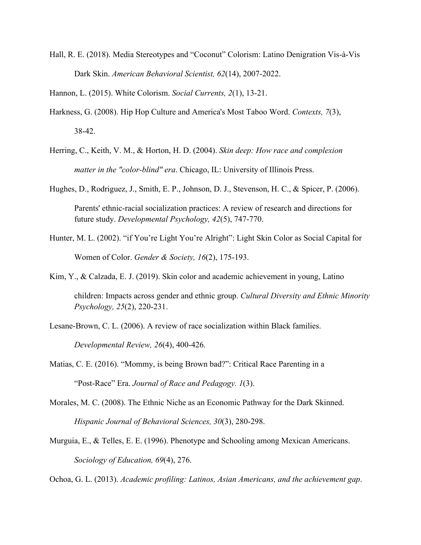Hall, R. E. (2018). Media Stereotypes and "Coconut" Colorism: Latino Denigration Vis-à-Vis Dark Skin. *American Behavioral Scientist, 62*(14), 2007-2022.

Hannon, L. (2015). White Colorism. *Social Currents, 2*(1), 13-21.

- Harkness, G. (2008). Hip Hop Culture and America's Most Taboo Word. *Contexts, 7*(3), 38-42.
- Herring, C., Keith, V. M., & Horton, H. D. (2004). *Skin deep: How race and complexion matter in the "color-blind" era*. Chicago, IL: University of Illinois Press.
- Hughes, D., Rodriguez, J., Smith, E. P., Johnson, D. J., Stevenson, H. C., & Spicer, P. (2006). Parents' ethnic-racial socialization practices: A review of research and directions for future study. *Developmental Psychology, 42*(5), 747-770.
- Hunter, M. L. (2002). "if You're Light You're Alright": Light Skin Color as Social Capital for Women of Color. *Gender & Society, 16*(2), 175-193.
- Kim, Y., & Calzada, E. J. (2019). Skin color and academic achievement in young, Latino children: Impacts across gender and ethnic group. *Cultural Diversity and Ethnic Minority Psychology, 25*(2), 220-231.
- Lesane-Brown, C. L. (2006). A review of race socialization within Black families.

*Developmental Review, 26*(4), 400-426.

- Matias, C. E. (2016). "Mommy, is being Brown bad?": Critical Race Parenting in a "Post-Race" Era. *Journal of Race and Pedagogy. 1*(3).
- Morales, M. C. (2008). The Ethnic Niche as an Economic Pathway for the Dark Skinned. *Hispanic Journal of Behavioral Sciences, 30*(3), 280-298.
- Murguia, E., & Telles, E. E. (1996). Phenotype and Schooling among Mexican Americans. *Sociology of Education, 69*(4), 276.

Ochoa, G. L. (2013). *Academic profiling: Latinos, Asian Americans, and the achievement gap*.